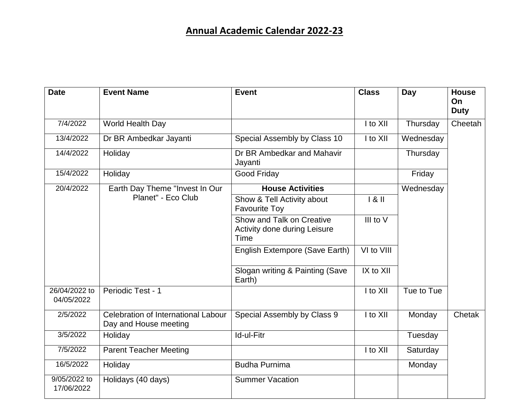| <b>Date</b>                 | <b>Event Name</b>                                            | <b>Event</b>                                                      | <b>Class</b>  | <b>Day</b> | <b>House</b><br>On<br><b>Duty</b> |
|-----------------------------|--------------------------------------------------------------|-------------------------------------------------------------------|---------------|------------|-----------------------------------|
| 7/4/2022                    | World Health Day                                             |                                                                   | I to XII      | Thursday   | Cheetah                           |
| 13/4/2022                   | Dr BR Ambedkar Jayanti                                       | Special Assembly by Class 10                                      | I to XII      | Wednesday  |                                   |
| 14/4/2022                   | Holiday                                                      | Dr BR Ambedkar and Mahavir<br>Jayanti                             |               | Thursday   |                                   |
| 15/4/2022                   | Holiday                                                      | <b>Good Friday</b>                                                |               | Friday     |                                   |
| 20/4/2022                   | Earth Day Theme "Invest In Our<br>Planet" - Eco Club         | <b>House Activities</b>                                           |               | Wednesday  |                                   |
|                             |                                                              | Show & Tell Activity about<br><b>Favourite Toy</b>                | 181           |            |                                   |
|                             |                                                              | Show and Talk on Creative<br>Activity done during Leisure<br>Time | III to V      |            |                                   |
|                             |                                                              | English Extempore (Save Earth)                                    | VI to VIII    |            |                                   |
|                             |                                                              | Slogan writing & Painting (Save<br>Earth)                         | $IX$ to $XII$ |            |                                   |
| 26/04/2022 to<br>04/05/2022 | Periodic Test - 1                                            |                                                                   | I to XII      | Tue to Tue |                                   |
| 2/5/2022                    | Celebration of International Labour<br>Day and House meeting | Special Assembly by Class 9                                       | I to XII      | Monday     | Chetak                            |
| 3/5/2022                    | Holiday                                                      | Id-ul-Fitr                                                        |               | Tuesday    |                                   |
| 7/5/2022                    | <b>Parent Teacher Meeting</b>                                |                                                                   | I to XII      | Saturday   |                                   |
| 16/5/2022                   | Holiday                                                      | <b>Budha Purnima</b>                                              |               | Monday     |                                   |
| 9/05/2022 to<br>17/06/2022  | Holidays (40 days)                                           | <b>Summer Vacation</b>                                            |               |            |                                   |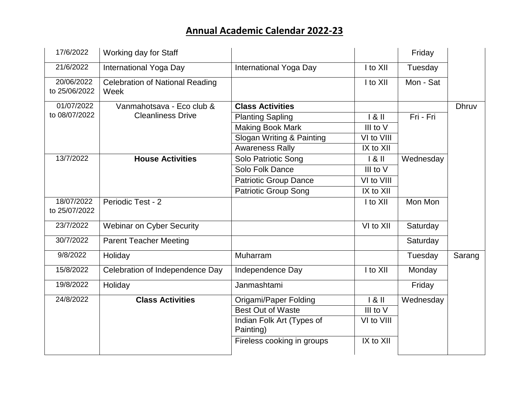| 17/6/2022                   | Working day for Staff                          |                              |            | Friday    |              |
|-----------------------------|------------------------------------------------|------------------------------|------------|-----------|--------------|
| 21/6/2022                   | International Yoga Day                         | International Yoga Day       | I to XII   | Tuesday   |              |
| 20/06/2022<br>to 25/06/2022 | <b>Celebration of National Reading</b><br>Week |                              | I to XII   | Mon - Sat |              |
| 01/07/2022                  | Vanmahotsava - Eco club &                      | <b>Class Activities</b>      |            |           | <b>Dhruv</b> |
| to 08/07/2022               | <b>Cleanliness Drive</b>                       | <b>Planting Sapling</b>      | 181        | Fri - Fri |              |
|                             |                                                | <b>Making Book Mark</b>      | III to V   |           |              |
|                             |                                                | Slogan Writing & Painting    | VI to VIII |           |              |
|                             |                                                | <b>Awareness Rally</b>       | IX to XII  |           |              |
| 13/7/2022                   | <b>House Activities</b>                        | Solo Patriotic Song          | 181        | Wednesday |              |
|                             |                                                | Solo Folk Dance              | III to V   |           |              |
|                             |                                                | <b>Patriotic Group Dance</b> | VI to VIII |           |              |
|                             |                                                | Patriotic Group Song         | IX to XII  |           |              |
| 18/07/2022                  | Periodic Test - 2                              |                              | I to XII   | Mon Mon   |              |
| to 25/07/2022               |                                                |                              |            |           |              |
| 23/7/2022                   | <b>Webinar on Cyber Security</b>               |                              | VI to XII  | Saturday  |              |
| 30/7/2022                   | <b>Parent Teacher Meeting</b>                  |                              |            | Saturday  |              |
| 9/8/2022                    | Holiday                                        | Muharram                     |            | Tuesday   | Sarang       |
| 15/8/2022                   | Celebration of Independence Day                | Independence Day             | I to XII   | Monday    |              |
| 19/8/2022                   | Holiday                                        | Janmashtami                  |            | Friday    |              |
| 24/8/2022                   | <b>Class Activities</b>                        | Origami/Paper Folding        | 181        | Wednesday |              |
|                             |                                                | <b>Best Out of Waste</b>     | III to V   |           |              |
|                             |                                                | Indian Folk Art (Types of    | VI to VIII |           |              |
|                             |                                                | Painting)                    |            |           |              |
|                             |                                                | Fireless cooking in groups   | IX to XII  |           |              |
|                             |                                                |                              |            |           |              |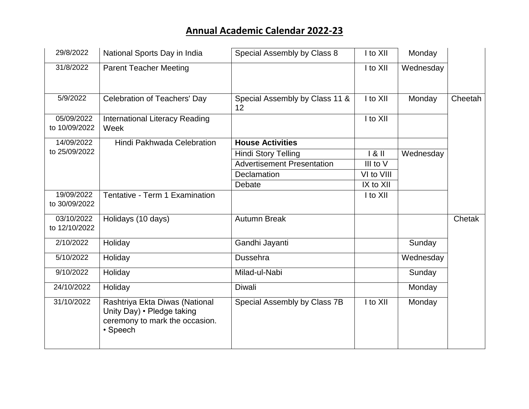| 29/8/2022                   | National Sports Day in India                                                                               | Special Assembly by Class 8          | I to XII     | Monday    |         |
|-----------------------------|------------------------------------------------------------------------------------------------------------|--------------------------------------|--------------|-----------|---------|
| 31/8/2022                   | <b>Parent Teacher Meeting</b>                                                                              |                                      | I to XII     | Wednesday |         |
| 5/9/2022                    | Celebration of Teachers' Day                                                                               | Special Assembly by Class 11 &<br>12 | $I$ to $XII$ | Monday    | Cheetah |
| 05/09/2022<br>to 10/09/2022 | <b>International Literacy Reading</b><br>Week                                                              |                                      | I to XII     |           |         |
| 14/09/2022                  | Hindi Pakhwada Celebration                                                                                 | <b>House Activities</b>              |              |           |         |
| to 25/09/2022               |                                                                                                            | <b>Hindi Story Telling</b>           | 181          | Wednesday |         |
|                             |                                                                                                            | <b>Advertisement Presentation</b>    | III to V     |           |         |
|                             |                                                                                                            | Declamation                          | VI to VIII   |           |         |
|                             |                                                                                                            | Debate                               | IX to XII    |           |         |
| 19/09/2022<br>to 30/09/2022 | Tentative - Term 1 Examination                                                                             |                                      | I to XII     |           |         |
| 03/10/2022<br>to 12/10/2022 | Holidays (10 days)                                                                                         | <b>Autumn Break</b>                  |              |           | Chetak  |
| 2/10/2022                   | Holiday                                                                                                    | Gandhi Jayanti                       |              | Sunday    |         |
| 5/10/2022                   | Holiday                                                                                                    | Dussehra                             |              | Wednesday |         |
| 9/10/2022                   | Holiday                                                                                                    | Milad-ul-Nabi                        |              | Sunday    |         |
| 24/10/2022                  | Holiday                                                                                                    | <b>Diwali</b>                        |              | Monday    |         |
| 31/10/2022                  | Rashtriya Ekta Diwas (National<br>Unity Day) • Pledge taking<br>ceremony to mark the occasion.<br>• Speech | Special Assembly by Class 7B         | I to XII     | Monday    |         |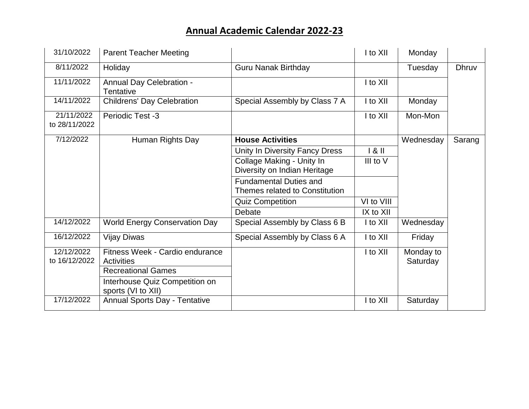| 31/10/2022                  | <b>Parent Teacher Meeting</b>                        |                                                                 | I to XII   | Monday                |              |
|-----------------------------|------------------------------------------------------|-----------------------------------------------------------------|------------|-----------------------|--------------|
| 8/11/2022                   | Holiday                                              | <b>Guru Nanak Birthday</b>                                      |            | Tuesday               | <b>Dhruv</b> |
| 11/11/2022                  | <b>Annual Day Celebration -</b><br>Tentative         |                                                                 | I to XII   |                       |              |
| 14/11/2022                  | <b>Childrens' Day Celebration</b>                    | Special Assembly by Class 7 A                                   | I to XII   | Monday                |              |
| 21/11/2022<br>to 28/11/2022 | Periodic Test -3                                     |                                                                 | I to XII   | Mon-Mon               |              |
| 7/12/2022                   | Human Rights Day                                     | <b>House Activities</b>                                         |            | Wednesday             | Sarang       |
|                             |                                                      | Unity In Diversity Fancy Dress                                  | 181        |                       |              |
|                             |                                                      | Collage Making - Unity In<br>Diversity on Indian Heritage       | III to V   |                       |              |
|                             |                                                      | <b>Fundamental Duties and</b><br>Themes related to Constitution |            |                       |              |
|                             |                                                      | <b>Quiz Competition</b>                                         | VI to VIII |                       |              |
|                             |                                                      | Debate                                                          | IX to XII  |                       |              |
| 14/12/2022                  | <b>World Energy Conservation Day</b>                 | Special Assembly by Class 6 B                                   | I to XII   | Wednesday             |              |
| 16/12/2022                  | <b>Vijay Diwas</b>                                   | Special Assembly by Class 6 A                                   | I to XII   | Friday                |              |
| 12/12/2022<br>to 16/12/2022 | Fitness Week - Cardio endurance<br>Activities        |                                                                 | I to XII   | Monday to<br>Saturday |              |
|                             | <b>Recreational Games</b>                            |                                                                 |            |                       |              |
|                             | Interhouse Quiz Competition on<br>sports (VI to XII) |                                                                 |            |                       |              |
| 17/12/2022                  | <b>Annual Sports Day - Tentative</b>                 |                                                                 | I to XII   | Saturday              |              |